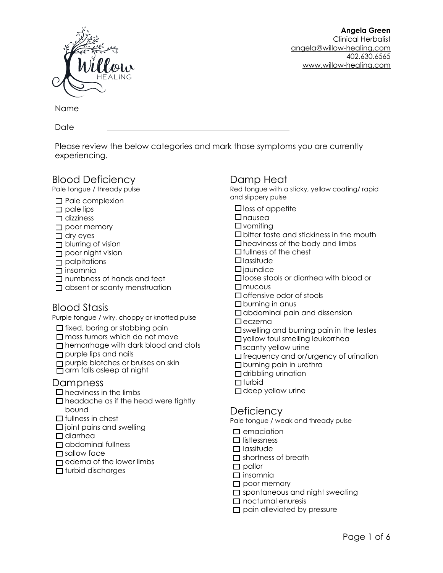

Name

Date

Please review the below categories and mark those symptoms you are currently experiencing.

### Blood Deficiency

Pale tongue / thready pulse

- $\square$  Pale complexion
- $\square$  pale lips
- $\Box$  dizziness
- $\square$  poor memory
- $\Box$  dry eyes
- $\Box$  blurring of vision
- poor night vision
- $\Box$  palpitations
- $\Box$  insomnia
- $\Box$  numbness of hands and feet
- $\Box$  absent or scanty menstruation

# Blood Stasis

Purple tongue / wiry, choppy or knotted pulse

- $\Box$  fixed, boring or stabbing pain
- $\square$  mass tumors which do not move
- □ hemorrhage with dark blood and clots
- purple lips and nails
- purple blotches or bruises on skin
- arm falls asleep at night

#### Dampness

- $\Box$  heaviness in the limbs
- $\Box$  headache as if the head were tightly bound
- $\Box$  fullness in chest
- $\square$  joint pains and swelling
- $\Box$  diarrhea
- $\Box$  abdominal fullness
- □ sallow face
- $\Box$  edema of the lower limbs
- $\Box$  turbid discharges

### Damp Heat

Red tongue with a sticky, yellow coating/ rapid and slippery pulse

- $\Box$  loss of appetite
- $\Box$ nausea
- $\square$  vomiting
- $\square$  bitter taste and stickiness in the mouth
- $\square$  heaviness of the body and limbs
- $\Box$  fullness of the chest
- **□**lassitude
- $\Box$ iaundice
- □ loose stools or diarrhea with blood or
- $\Box$  mucous
- $\Box$  offensive odor of stools
- $\square$  burning in anus
- $\Box$  abdominal pain and dissension
- $\Sigma$ eczema
- $\square$  swelling and burning pain in the testes
- □ yellow foul smelling leukorrhea
- $\square$  scanty yellow urine
- $\Box$  frequency and or/urgency of urination
- $\square$  burning pain in urethra
- $\Box$  dribbling urination
- $\Box$ turbid
- $\Box$  deep yellow urine

### **Deficiency**

Pale tongue / weak and thready pulse

- $\square$  emaciation
- $\square$  listlessness
- $\Box$  lassitude
- $\square$  shortness of breath
- $\square$  pallor
- $\square$  insomnia
- $\square$  poor memory
- $\square$  spontaneous and night sweating
- $\Box$  nocturnal enuresis
- $\square$  pain alleviated by pressure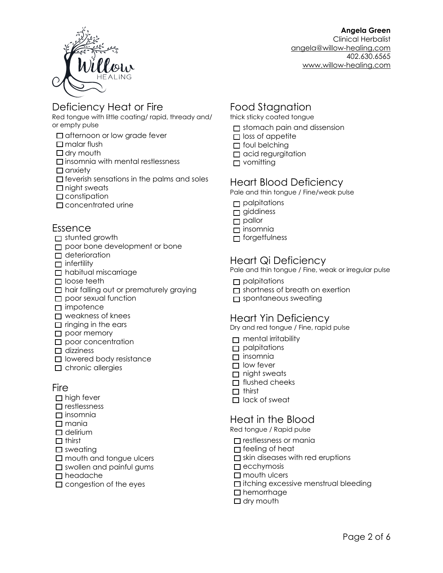

## Deficiency Heat or Fire

Red tongue with little coating/ rapid, thready and/ or empty pulse

- $\Box$  afternoon or low grade fever
- $\Box$  malar flush
- $\Box$  dry mouth
- $\square$  insomnia with mental restlessness
- $\Box$  anxiety
- $\square$  feverish sensations in the palms and soles
- $\Box$  night sweats
- $\square$  constipation
- □ concentrated urine

#### Essence

- stunted growth
- poor bone development or bone
- deterioration
- $\Box$  infertility
- □ habitual miscarriage
- $\Box$  loose teeth
- □ hair falling out or prematurely graying
- **n** poor sexual function
- □ impotence
- $\Box$  weakness of knees
- $\Box$  ringing in the ears
- poor memory
- $\square$  poor concentration
- $\Box$  dizziness
- $\Box$  lowered body resistance
- $\Box$  chronic allergies

#### Fire

- $\Box$  high fever
- $\square$  restlessness
- $\square$  insomnia
- $\Box$  mania
- $\Box$  delirium
- $\Box$  thirst
- $\square$  sweating
- $\square$  mouth and tongue ulcers
- $\square$  swollen and painful gums
- $\Box$  headache
- $\square$  congestion of the eyes

# Food Stagnation

- thick sticky coated tongue
- $\Box$  stomach pain and dissension
- $\Box$  loss of appetite
- $\Box$  foul belching
- $\Box$  acid regurgitation
- $\Box$  vomitting

# Heart Blood Deficiency

Pale and thin tongue / Fine/weak pulse

- $\Box$  palpitations
- $\Box$  giddiness
- pallor
- insomnia
- forgetfulness

#### Heart Qi Deficiency

Pale and thin tongue / Fine, weak or irregular pulse

- $\Box$  palpitations
- $\Box$  shortness of breath on exertion
- pontaneous sweating

# Heart Yin Deficiency

Dry and red tongue / Fine, rapid pulse

- $\Box$  mental irritability
- $\Box$  palpitations
- $\Box$  insomnia
- $\Box$  low fever
- $\Box$  night sweats
- $\Box$  flushed cheeks
- $\Box$  thirst
- $\Box$  lack of sweat

### Heat in the Blood

Red tongue / Rapid pulse

- $\square$  restlessness or mania
- $\Box$  feeling of heat
- $\square$  skin diseases with red eruptions
- $\Box$  ecchymosis
- $\Box$  mouth ulcers
- $\square$  itching excessive menstrual bleeding
- □ hemorrhage
- $\Box$  dry mouth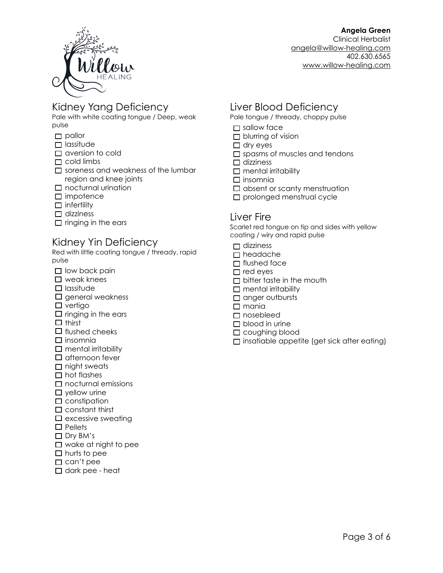

**Angela Green**  Clinical Herbalist [angela@willow-healing.com](mailto:angela@willow-healing.com) 402.630.6565

[www.willow-healing.com](http://www.willow-healing.com)

## Kidney Yang Deficiency

Pale with white coating tongue / Deep, weak pulse

- pallor
- $\Box$  lassitude
- $\Box$  aversion to cold
- $\Box$  cold limbs
- $\square$  soreness and weakness of the lumbar region and knee joints
- $\square$  nocturnal urination
- $\Box$  impotence
- $\Box$  infertility
- $\Box$  dizziness
- $\Box$  ringing in the ears

### Kidney Yin Deficiency

Red with little coating tongue / thready, rapid pulse

- $\square$  low back pain
- $\square$  weak knees
- $\Box$  lassitude
- $\square$  general weakness
- $\square$  vertigo
- $\square$  ringing in the ears
- $\Box$  thirst
- $\Box$  flushed cheeks
- $\square$  insomnia
- $\Box$  mental irritability
- $\square$  afternoon fever
- $\Box$  night sweats
- $\Box$  hot flashes
- $\Box$  nocturnal emissions
- $\square$  yellow urine
- $\square$  constipation
- $\square$  constant thirst
- $\square$  excessive sweating
- $\Box$  Pellets
- □ Dry BM's
- $\Box$  wake at night to pee
- $\Box$  hurts to pee
- $\Box$  can't pee
- $\Box$  dark pee heat

# Liver Blood Deficiency

Pale tongue / thready, choppy pulse

- □ sallow face
- $\Box$  blurring of vision
- $\Box$  dry eyes
- $\square$  spasms of muscles and tendons
- $\Box$  dizziness
- $\square$  mental irritability
- $\square$  insomnia
- $\square$  absent or scanty menstruation
- $\square$  prolonged menstrual cycle

#### Liver Fire

Scarlet red tongue on tip and sides with yellow coating / wiry and rapid pulse

- $\Box$  dizziness
- headache
- $\Box$  flushed face
- $\Box$  red eyes
- $\Box$  bitter taste in the mouth
- $\Box$  mental irritability
- $\Box$  anger outbursts
- $\square$  mania
- □ nosebleed
- $\Box$  blood in urine
- □ coughing blood
- $\square$  insatiable appetite (get sick after eating)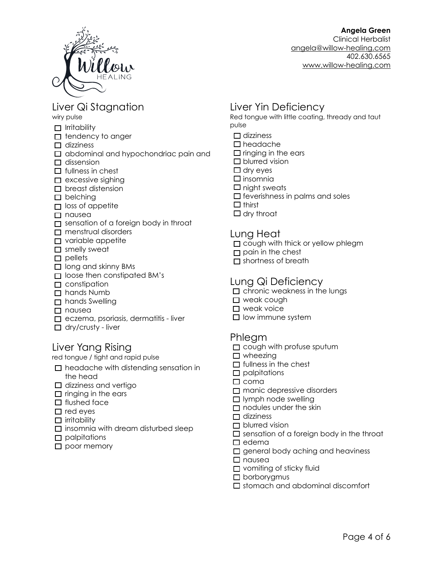

# Liver Qi Stagnation

wiry pulse

- $\Box$  Irritability
- $\Box$  tendency to anger
- $\Box$  dizziness
- $\Box$  abdominal and hypochondriac pain and
- $\Box$  dissension
- $\Box$  fullness in chest
- $\Box$  excessive sighing
- $\Box$  breast distension
- $\square$  belching
- $\Box$  loss of appetite
- nausea
- $\Box$  sensation of a foreign body in throat
- menstrual disorders
- $\square$  variable appetite
- $\square$  smelly sweat
- $\square$  pellets
- $\Box$  long and skinny BMs
- $\Box$  loose then constipated BM's
- $\Box$  constipation
- □ hands Numb
- □ hands Swelling
- nausea
- $\Box$  eczema, psoriasis, dermatitis liver
- $\Box$  dry/crusty liver

#### Liver Yang Rising

red tongue / tight and rapid pulse

- $\Box$  headache with distending sensation in the head
- $\Box$  dizziness and vertigo
- $\Box$  ringing in the ears
- $\Box$  flushed face
- $\Box$  red eyes
- $\Box$  irritability
- $\square$  insomnia with dream disturbed sleep
- $\Box$  palpitations
- poor memory

# Liver Yin Deficiency

Red tongue with little coating, thready and taut pulse

- $\Box$  dizziness
- headache
- $\square$  ringing in the ears
- $\square$  blurred vision
- $\Box$  dry eyes
- $\square$  insomnia
- $\Box$  night sweats
- $\square$  feverishness in palms and soles
- $\Box$  thirst
- $\Box$  dry throat

#### Lung Heat

- $\Box$  cough with thick or yellow phlegm
- $\Box$  pain in the chest
- $\Box$  shortness of breath

#### Lung Qi Deficiency

- $\square$  chronic weakness in the lungs
- □ weak cough
- $\square$  weak voice
- $\square$  low immune system

#### Phlegm

- $\square$  cough with profuse sputum
- $\Box$  wheezing
- $\Box$  fullness in the chest
- $\square$  palpitations
- $\square$  coma
- manic depressive disorders
- $\Box$  lymph node swelling
- $\Box$  nodules under the skin
- $\Box$  dizziness
- $\Box$  blurred vision
- $\square$  sensation of a foreign body in the throat
- $\Box$  edema
- $\Box$  general body aching and heaviness
- nausea
- $\Box$  vomiting of sticky fluid
- $\Box$  borborygmus
- $\square$  stomach and abdominal discomfort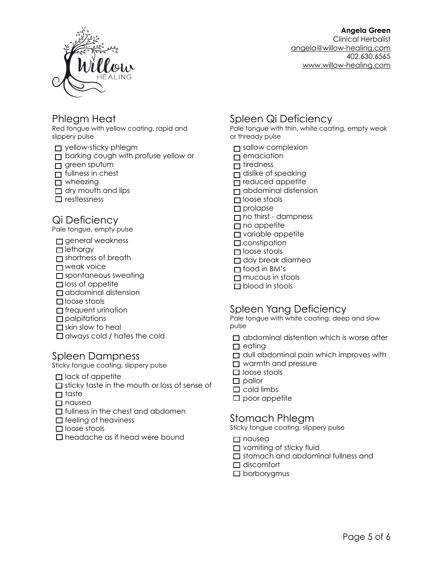

**Angela Green** 

Clinical Herbalist [angela@willow-healing.com](mailto:angela@willow-healing.com) 402.630.6565 [www.willow-healing.com](http://www.willow-healing.com)

# Phlegm Heat

Red tongue with yellow coating, rapid and slippery pulse

yellow-sticky phlegm

- $\Box$  barking cough with profuse yellow or
- $\Box$  green sputum
- $\Box$  fullness in chest
- □ wheezing
- $\Box$  dry mouth and lips
- $\square$  restlessness

# Qi Deficiency

Pale tongue, empty pulse

- $\square$  general weakness
- **□** lethargy
- $\Box$  shortness of breath
- □ weak voice
- $\square$  spontaneous sweating
- $\Box$  loss of appetite
- $\Box$  abdominal distension
- □ loose stools
- $\Box$  frequent urination
- $\square$  palpitations
- $\square$  skin slow to heal
- $\Box$  always cold / hates the cold

### Spleen Dampness

Sticky tongue coating, slippery pulse

- $\Box$  lack of appetite
- $\Box$  sticky taste in the mouth or loss of sense of
- $\Box$  taste
- □ nausea
- $\Box$  fullness in the chest and abdomen
- $\Box$  feeling of heaviness
- $\square$  loose stools
- □ headache as if head were bound

# Spleen Qi Deficiency

Pale tongue with thin, white coating, empty weak or thready pulse

- sallow complexion
- $\Box$  emaciation
- $\Box$  tiredness
- $\Box$  dislike of speaking
- $\Box$  reduced appetite
- abdominal distension
- loose stools
- $\square$  prolapse
- no thirst dampness
- $\Box$  no appetite
- **D** variable appetite
- $\Box$  constipation
- loose stools
- day break diarrhea
- $\Box$  food in BM's
- $\Box$  mucous in stools
- □ blood in stools

# Spleen Yang Deficiency

Pale tongue with white coating, deep and slow pulse

- $\Box$  abdominal distention which is worse after
- $\Box$  eating
- $\Box$  dull abdominal pain which improves with
- $\Box$  warmth and pressure
- $\Box$  loose stools
- $\square$  pallor
- $\Box$  cold limbs
- $\square$  poor appetite

#### Stomach Phlegm

Sticky tongue coating, slippery pulse

- $\Box$  nausea
- $\Box$  vomiting of sticky fluid
- stomach and abdominal fullness and
- $\Box$  discomfort
- $\Box$  borborygmus